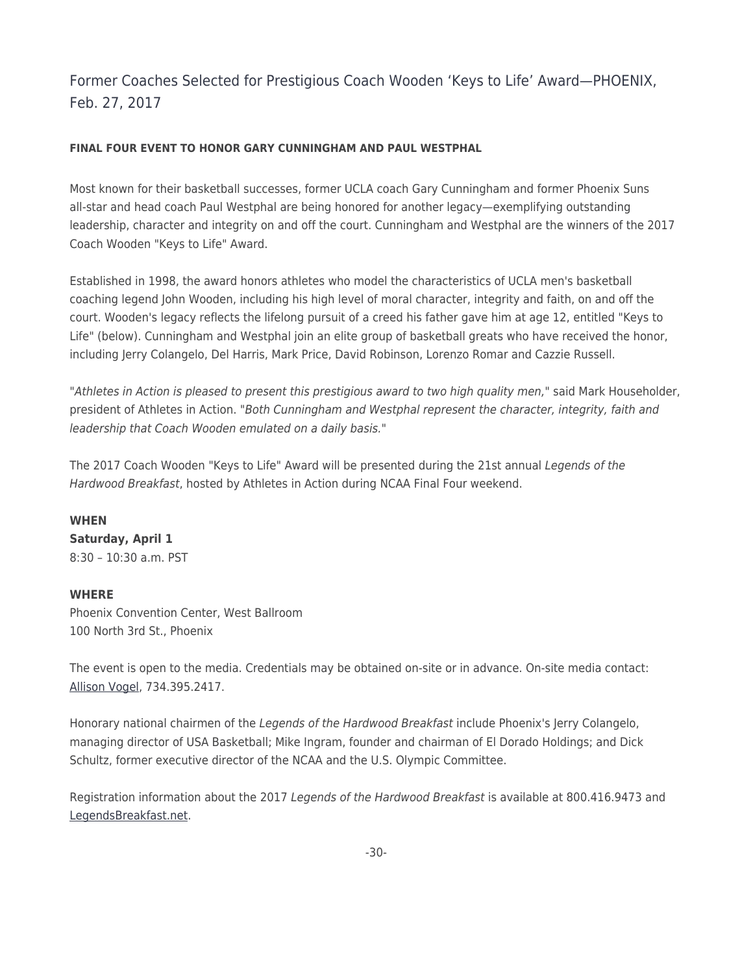## Former Coaches Selected for Prestigious Coach Wooden 'Keys to Life' Award—PHOENIX, Feb. 27, 2017

## **FINAL FOUR EVENT TO HONOR GARY CUNNINGHAM AND PAUL WESTPHAL**

Most known for their basketball successes, former UCLA coach Gary Cunningham and former Phoenix Suns all-star and head coach Paul Westphal are being honored for another legacy—exemplifying outstanding leadership, character and integrity on and off the court. Cunningham and Westphal are the winners of the 2017 Coach Wooden "Keys to Life" Award.

Established in 1998, the award honors athletes who model the characteristics of UCLA men's basketball coaching legend John Wooden, including his high level of moral character, integrity and faith, on and off the court. Wooden's legacy reflects the lifelong pursuit of a creed his father gave him at age 12, entitled "Keys to Life" (below). Cunningham and Westphal join an elite group of basketball greats who have received the honor, including Jerry Colangelo, Del Harris, Mark Price, David Robinson, Lorenzo Romar and Cazzie Russell.

"Athletes in Action is pleased to present this prestigious award to two high quality men," said Mark Householder, president of Athletes in Action. "Both Cunningham and Westphal represent the character, integrity, faith and leadership that Coach Wooden emulated on a daily basis."

The 2017 Coach Wooden "Keys to Life" Award will be presented during the 21st annual Legends of the Hardwood Breakfast, hosted by Athletes in Action during NCAA Final Four weekend.

## **WHEN**

**Saturday, April 1** 8:30 – 10:30 a.m. PST

## **WHERE**

Phoenix Convention Center, West Ballroom 100 North 3rd St., Phoenix

The event is open to the media. Credentials may be obtained on-site or in advance. On-site media contact: [Allison Vogel](mailto:Allison.Vogel@AthletesinAction.org?subject=Keys to Life Inquiry), 734.395.2417.

Honorary national chairmen of the Legends of the Hardwood Breakfast include Phoenix's Jerry Colangelo, managing director of USA Basketball; Mike Ingram, founder and chairman of El Dorado Holdings; and Dick Schultz, former executive director of the NCAA and the U.S. Olympic Committee.

Registration information about the 2017 Legends of the Hardwood Breakfast is available at 800.416.9473 and [LegendsBreakfast.net.](http://goaia.org/events/legends)